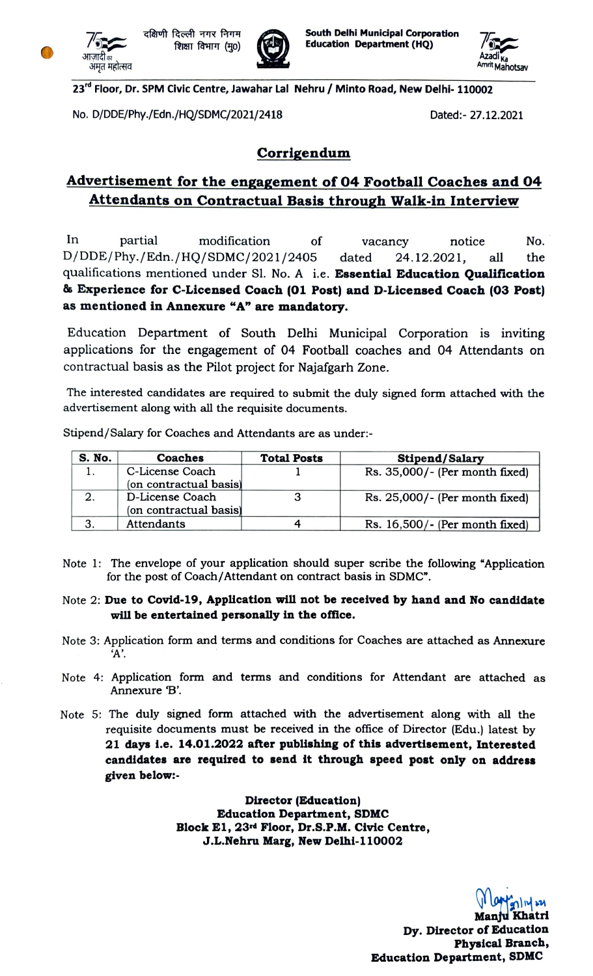

..........<br>अमृत महोत्सव



Tom a दक्षिणी दिल्ली नगर निगम<br>अपलाटी हो Education Department (HQ)<br>आलाटी बाद Education Department (HQ)



23<sup>rd</sup> Floor, Dr. SPM Civic Centre, Jawahar Lal Nehru / Minto Road, New Delhi- 110002

No. D/DDE/Phy,/Edn./HQ/SDMC/2021/2418 Dated:- 27.12.2021

## Corrigendum

# Advertisement for the engagement of 04 Football Coaches and 04 Attendants on Contractual Basis through Walk-in Interview

In partial modification of vacancy notice No. D/DDE/Phy./Edn./HQ/SDMC/2021/2405 qualifications mentioned under Sl. No. A i.e. Essential Education Qualification 8s Experience for C-Licensed Coach (01 Post) and D-Licensed Coach (03 Post) as mentioned in Annexure "A" are mandatory. dated 24.12.2021, all the

Education Department of South Delhi Municipal Corporation is inviting applications for the engagement of 04 Football coaches and 04 Attendants on contractual basis as the Pilot project for Najafgarh Zone.

The interested candidates are required to submit the duly signed form attached with the advertisement along with all the requisite documents.

| S. No. | Coaches                | <b>Total Posts</b> | Stipend/Salary                    |
|--------|------------------------|--------------------|-----------------------------------|
|        | C-License Coach        |                    | $Rs. 35,000/-$ (Per month fixed)  |
|        | (on contractual basis) |                    |                                   |
| 2.     | D-License Coach        |                    | $Rs. 25,000/$ - (Per month fixed) |
|        | (on contractual basis) |                    |                                   |
|        | <b>Attendants</b>      |                    | Rs. $16,500/$ - (Per month fixed) |

Stipend/Salary for Coaches and Attendants are as under:

Note 1: The envelope of your application should super scribe the following "Application for the post of Coach/Attendant on contract basis in SDMC".

#### Note 2: Due to Covid-19, Application will not be received by hand and No candidate will be entertained personally in the office.

- Note 3: Application form and terms and conditions for Coaches are attached as Annexure A'.
- Note 4: Application form and terms and conditions for Attendant are attached as Annexure B'.
- Note 5: The duly signed form attached with the advertisement along with all the requisite documents must be received in the office of Director (Edu.) latest by 21 days i.e. 14.01.2022 after publishing of this advertisement, Interested candidates are required to send it through speed post only on address given below:

Director (Education) Education Department, SDMC Block El1, 23rd Floor, Dr.S.P.M. Civic Centre, J.L.Nehru Marg, New Delhi-110002

> lontn Manfu Khatri Dy. Director of Education Physical Branch, Education Department, SDMC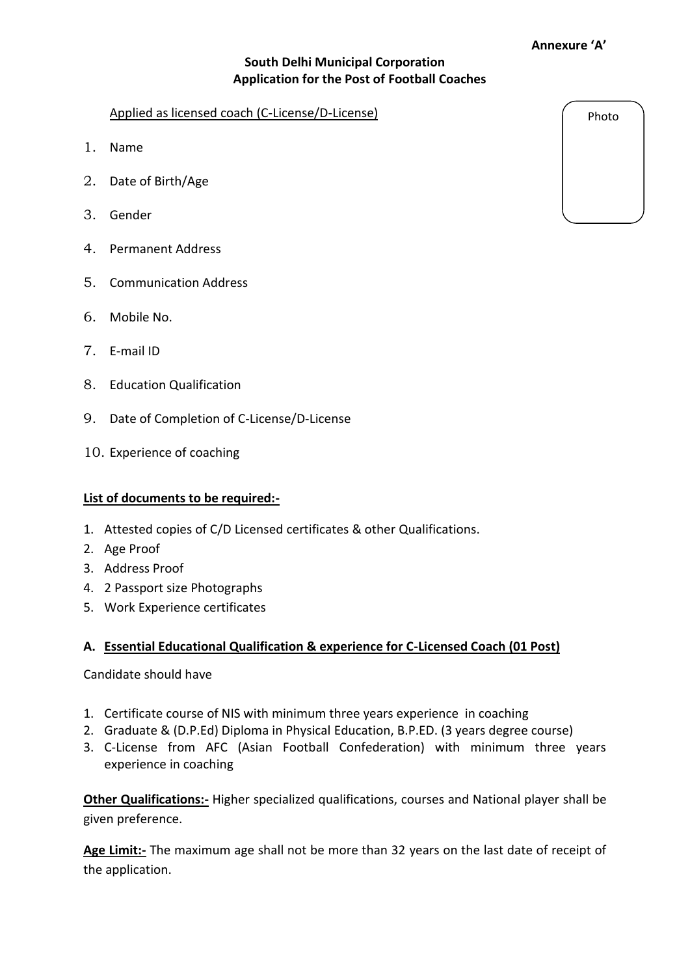#### **Annexure 'A'**

# **South Delhi Municipal Corporation Application for the Post of Football Coaches**

#### Applied as licensed coach (C-License/D-License)

- 1. Name
- 2. Date of Birth/Age
- 3. Gender
- 4. Permanent Address
- 5. Communication Address
- 6. Mobile No.
- 7. E-mail ID
- 8. Education Qualification
- 9. Date of Completion of C-License/D-License
- 10. Experience of coaching

### **List of documents to be required:-**

- 1. Attested copies of C/D Licensed certificates & other Qualifications.
- 2. Age Proof
- 3. Address Proof
- 4. 2 Passport size Photographs
- 5. Work Experience certificates

### **A. Essential Educational Qualification & experience for C-Licensed Coach (01 Post)**

Candidate should have

- 1. Certificate course of NIS with minimum three years experience in coaching
- 2. Graduate & (D.P.Ed) Diploma in Physical Education, B.P.ED. (3 years degree course)
- 3. C-License from AFC (Asian Football Confederation) with minimum three years experience in coaching

**Other Qualifications:-** Higher specialized qualifications, courses and National player shall be given preference.

**Age Limit:-** The maximum age shall not be more than 32 years on the last date of receipt of the application.

Photo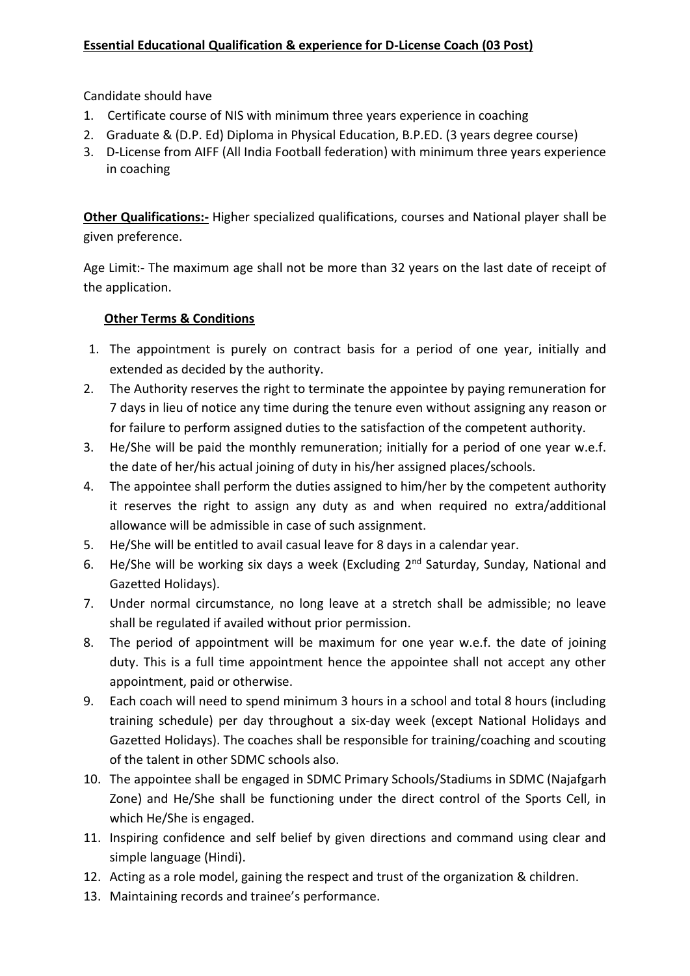Candidate should have

- 1. Certificate course of NIS with minimum three years experience in coaching
- 2. Graduate & (D.P. Ed) Diploma in Physical Education, B.P.ED. (3 years degree course)
- 3. D-License from AIFF (All India Football federation) with minimum three years experience in coaching

**Other Qualifications:-** Higher specialized qualifications, courses and National player shall be given preference.

Age Limit:- The maximum age shall not be more than 32 years on the last date of receipt of the application.

# **Other Terms & Conditions**

- 1. The appointment is purely on contract basis for a period of one year, initially and extended as decided by the authority.
- 2. The Authority reserves the right to terminate the appointee by paying remuneration for 7 days in lieu of notice any time during the tenure even without assigning any reason or for failure to perform assigned duties to the satisfaction of the competent authority.
- 3. He/She will be paid the monthly remuneration; initially for a period of one year w.e.f. the date of her/his actual joining of duty in his/her assigned places/schools.
- 4. The appointee shall perform the duties assigned to him/her by the competent authority it reserves the right to assign any duty as and when required no extra/additional allowance will be admissible in case of such assignment.
- 5. He/She will be entitled to avail casual leave for 8 days in a calendar year.
- 6. He/She will be working six days a week (Excluding 2<sup>nd</sup> Saturday, Sunday, National and Gazetted Holidays).
- 7. Under normal circumstance, no long leave at a stretch shall be admissible; no leave shall be regulated if availed without prior permission.
- 8. The period of appointment will be maximum for one year w.e.f. the date of joining duty. This is a full time appointment hence the appointee shall not accept any other appointment, paid or otherwise.
- 9. Each coach will need to spend minimum 3 hours in a school and total 8 hours (including training schedule) per day throughout a six-day week (except National Holidays and Gazetted Holidays). The coaches shall be responsible for training/coaching and scouting of the talent in other SDMC schools also.
- 10. The appointee shall be engaged in SDMC Primary Schools/Stadiums in SDMC (Najafgarh Zone) and He/She shall be functioning under the direct control of the Sports Cell, in which He/She is engaged.
- 11. Inspiring confidence and self belief by given directions and command using clear and simple language (Hindi).
- 12. Acting as a role model, gaining the respect and trust of the organization & children.
- 13. Maintaining records and trainee's performance.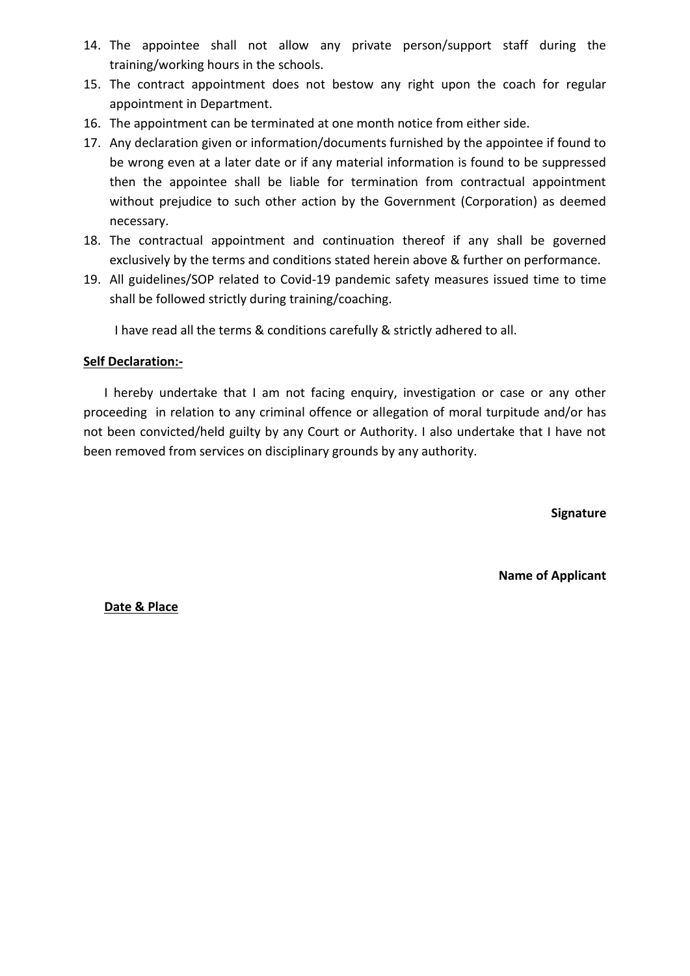- 14. The appointee shall not allow any private person/support staff during the training/working hours in the schools.
- 15. The contract appointment does not bestow any right upon the coach for regular appointment in Department.
- 16. The appointment can be terminated at one month notice from either side.
- 17. Any declaration given or information/documents furnished by the appointee if found to be wrong even at a later date or if any material information is found to be suppressed then the appointee shall be liable for termination from contractual appointment without prejudice to such other action by the Government (Corporation) as deemed necessary.
- 18. The contractual appointment and continuation thereof if any shall be governed exclusively by the terms and conditions stated herein above & further on performance.
- 19. All guidelines/SOP related to Covid-19 pandemic safety measures issued time to time shall be followed strictly during training/coaching.

I have read all the terms & conditions carefully & strictly adhered to all.

## **Self Declaration:-**

I hereby undertake that I am not facing enquiry, investigation or case or any other proceeding in relation to any criminal offence or allegation of moral turpitude and/or has not been convicted/held guilty by any Court or Authority. I also undertake that I have not been removed from services on disciplinary grounds by any authority.

**Signature**

**Name of Applicant** 

**Date & Place**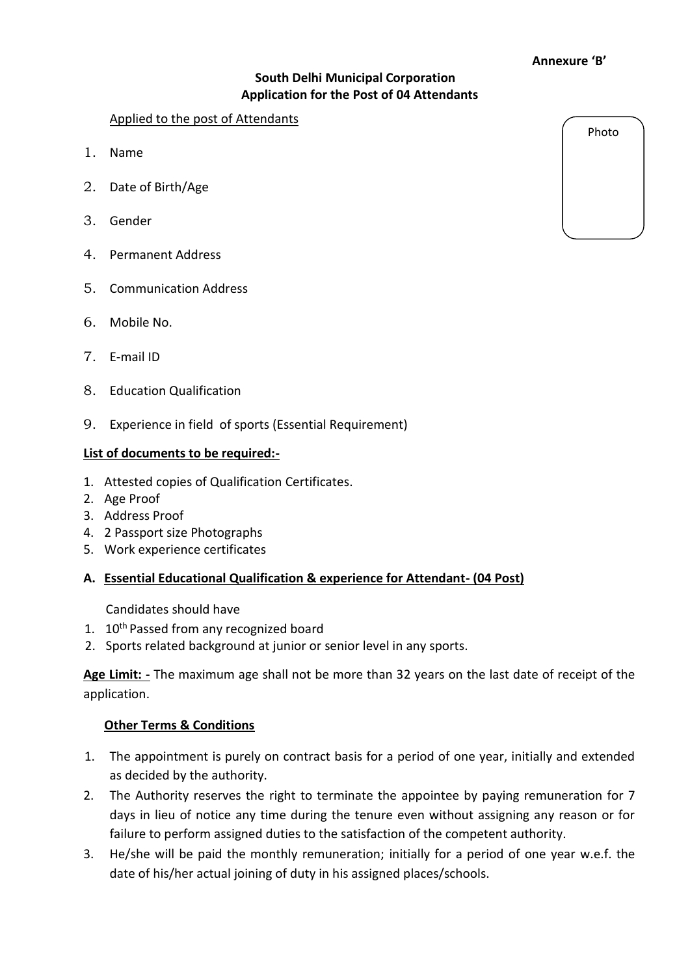#### **Annexure 'B'**

# **South Delhi Municipal Corporation Application for the Post of 04 Attendants**

### Applied to the post of Attendants

- 1. Name
- 2. Date of Birth/Age
- 3. Gender
- 4. Permanent Address
- 5. Communication Address
- 6. Mobile No.
- 7. E-mail ID
- 8. Education Qualification
- 9. Experience in field of sports (Essential Requirement)

### **List of documents to be required:-**

- 1. Attested copies of Qualification Certificates.
- 2. Age Proof
- 3. Address Proof
- 4. 2 Passport size Photographs
- 5. Work experience certificates

# **A. Essential Educational Qualification & experience for Attendant- (04 Post)**

Candidates should have

- 1. 10<sup>th</sup> Passed from any recognized board
- 2. Sports related background at junior or senior level in any sports.

**Age Limit: -** The maximum age shall not be more than 32 years on the last date of receipt of the application.

### **Other Terms & Conditions**

- 1. The appointment is purely on contract basis for a period of one year, initially and extended as decided by the authority.
- 2. The Authority reserves the right to terminate the appointee by paying remuneration for 7 days in lieu of notice any time during the tenure even without assigning any reason or for failure to perform assigned duties to the satisfaction of the competent authority.
- 3. He/she will be paid the monthly remuneration; initially for a period of one year w.e.f. the date of his/her actual joining of duty in his assigned places/schools.

Photo